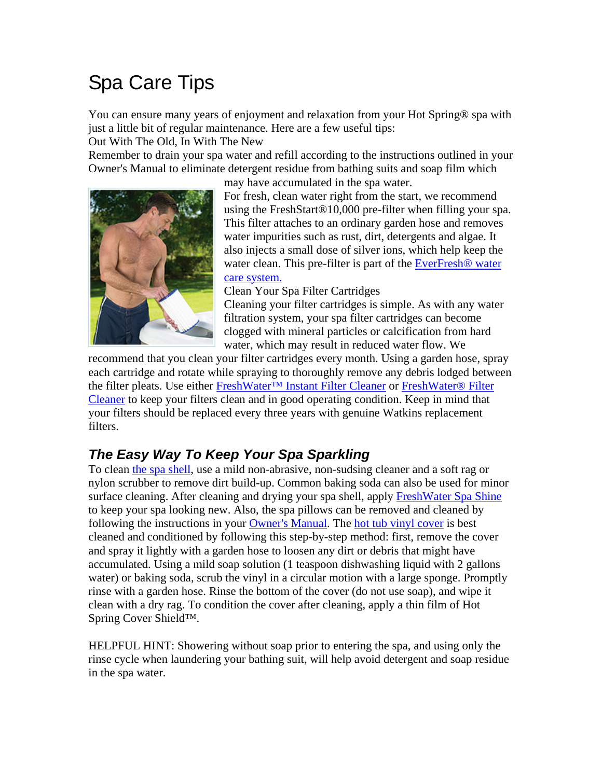# Spa Care Tips

You can ensure many years of enjoyment and relaxation from your Hot Spring® spa with just a little bit of regular maintenance. Here are a few useful tips:

Out With The Old, In With The New

Remember to drain your spa water and refill according to the instructions outlined in your Owner's Manual to eliminate detergent residue from bathing suits and soap film which



may have accumulated in the spa water. For fresh, clean water right from the start, we recommend using the FreshStart®10,000 pre-filter when filling your spa. This filter attaches to an ordinary garden hose and removes water impurities such as rust, dirt, detergents and algae. It also injects a small dose of silver ions, which help keep the water clean. This pre-filter is part of the EverFresh® water care system.

Clean Your Spa Filter Cartridges

Cleaning your filter cartridges is simple. As with any water filtration system, your spa filter cartridges can become clogged with mineral particles or calcification from hard water, which may result in reduced water flow. We

recommend that you clean your filter cartridges every month. Using a garden hose, spray each cartridge and rotate while spraying to thoroughly remove any debris lodged between the filter pleats. Use either FreshWater™ Instant Filter Cleaner or FreshWater® Filter Cleaner to keep your filters clean and in good operating condition. Keep in mind that your filters should be replaced every three years with genuine Watkins replacement filters.

## *The Easy Way To Keep Your Spa Sparkling*

To clean the spa shell, use a mild non-abrasive, non-sudsing cleaner and a soft rag or nylon scrubber to remove dirt build-up. Common baking soda can also be used for minor surface cleaning. After cleaning and drying your spa shell, apply FreshWater Spa Shine to keep your spa looking new. Also, the spa pillows can be removed and cleaned by following the instructions in your Owner's Manual. The hot tub vinyl cover is best cleaned and conditioned by following this step-by-step method: first, remove the cover and spray it lightly with a garden hose to loosen any dirt or debris that might have accumulated. Using a mild soap solution (1 teaspoon dishwashing liquid with 2 gallons water) or baking soda, scrub the vinyl in a circular motion with a large sponge. Promptly rinse with a garden hose. Rinse the bottom of the cover (do not use soap), and wipe it clean with a dry rag. To condition the cover after cleaning, apply a thin film of Hot Spring Cover Shield™.

HELPFUL HINT: Showering without soap prior to entering the spa, and using only the rinse cycle when laundering your bathing suit, will help avoid detergent and soap residue in the spa water.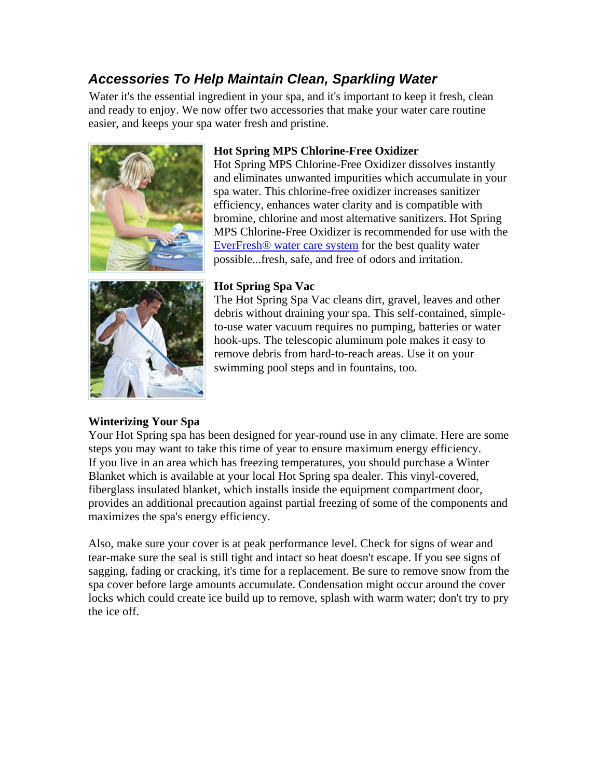### *Accessories To Help Maintain Clean, Sparkling Water*

Water it's the essential ingredient in your spa, and it's important to keep it fresh, clean and ready to enjoy. We now offer two accessories that make your water care routine easier, and keeps your spa water fresh and pristine.



#### **Hot Spring MPS Chlorine-Free Oxidizer**

Hot Spring MPS Chlorine-Free Oxidizer dissolves instantly and eliminates unwanted impurities which accumulate in your spa water. This chlorine-free oxidizer increases sanitizer efficiency, enhances water clarity and is compatible with bromine, chlorine and most alternative sanitizers. Hot Spring MPS Chlorine-Free Oxidizer is recommended for use with the EverFresh® water care system for the best quality water possible...fresh, safe, and free of odors and irritation.



#### **Hot Spring Spa Vac**

The Hot Spring Spa Vac cleans dirt, gravel, leaves and other debris without draining your spa. This self-contained, simpleto-use water vacuum requires no pumping, batteries or water hook-ups. The telescopic aluminum pole makes it easy to remove debris from hard-to-reach areas. Use it on your swimming pool steps and in fountains, too.

#### **Winterizing Your Spa**

Your Hot Spring spa has been designed for year-round use in any climate. Here are some steps you may want to take this time of year to ensure maximum energy efficiency. If you live in an area which has freezing temperatures, you should purchase a Winter Blanket which is available at your local Hot Spring spa dealer. This vinyl-covered, fiberglass insulated blanket, which installs inside the equipment compartment door, provides an additional precaution against partial freezing of some of the components and maximizes the spa's energy efficiency.

Also, make sure your cover is at peak performance level. Check for signs of wear and tear-make sure the seal is still tight and intact so heat doesn't escape. If you see signs of sagging, fading or cracking, it's time for a replacement. Be sure to remove snow from the spa cover before large amounts accumulate. Condensation might occur around the cover locks which could create ice build up to remove, splash with warm water; don't try to pry the ice off.